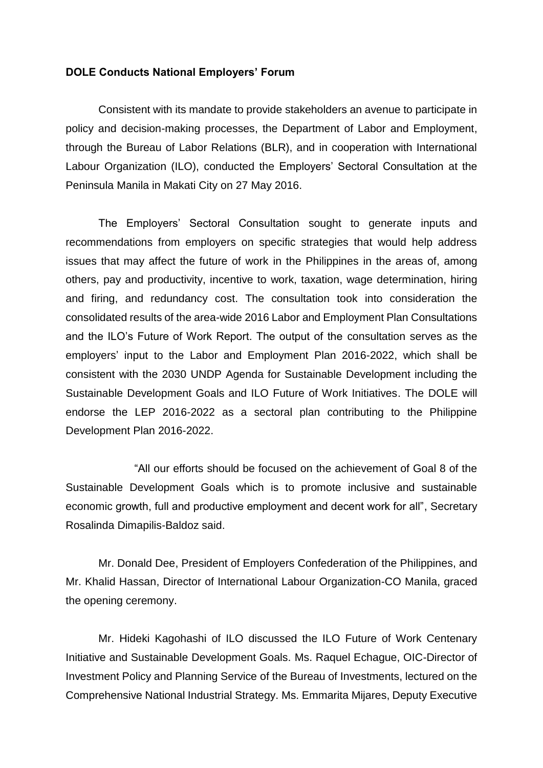## **DOLE Conducts National Employers' Forum**

Consistent with its mandate to provide stakeholders an avenue to participate in policy and decision-making processes, the Department of Labor and Employment, through the Bureau of Labor Relations (BLR), and in cooperation with International Labour Organization (ILO), conducted the Employers' Sectoral Consultation at the Peninsula Manila in Makati City on 27 May 2016.

The Employers' Sectoral Consultation sought to generate inputs and recommendations from employers on specific strategies that would help address issues that may affect the future of work in the Philippines in the areas of, among others, pay and productivity, incentive to work, taxation, wage determination, hiring and firing, and redundancy cost. The consultation took into consideration the consolidated results of the area-wide 2016 Labor and Employment Plan Consultations and the ILO's Future of Work Report. The output of the consultation serves as the employers' input to the Labor and Employment Plan 2016-2022, which shall be consistent with the 2030 UNDP Agenda for Sustainable Development including the Sustainable Development Goals and ILO Future of Work Initiatives. The DOLE will endorse the LEP 2016-2022 as a sectoral plan contributing to the Philippine Development Plan 2016-2022.

"All our efforts should be focused on the achievement of Goal 8 of the Sustainable Development Goals which is to promote inclusive and sustainable economic growth, full and productive employment and decent work for all", Secretary Rosalinda Dimapilis-Baldoz said.

Mr. Donald Dee, President of Employers Confederation of the Philippines, and Mr. Khalid Hassan, Director of International Labour Organization-CO Manila, graced the opening ceremony.

Mr. Hideki Kagohashi of ILO discussed the ILO Future of Work Centenary Initiative and Sustainable Development Goals. Ms. Raquel Echague, OIC-Director of Investment Policy and Planning Service of the Bureau of Investments, lectured on the Comprehensive National Industrial Strategy. Ms. Emmarita Mijares, Deputy Executive